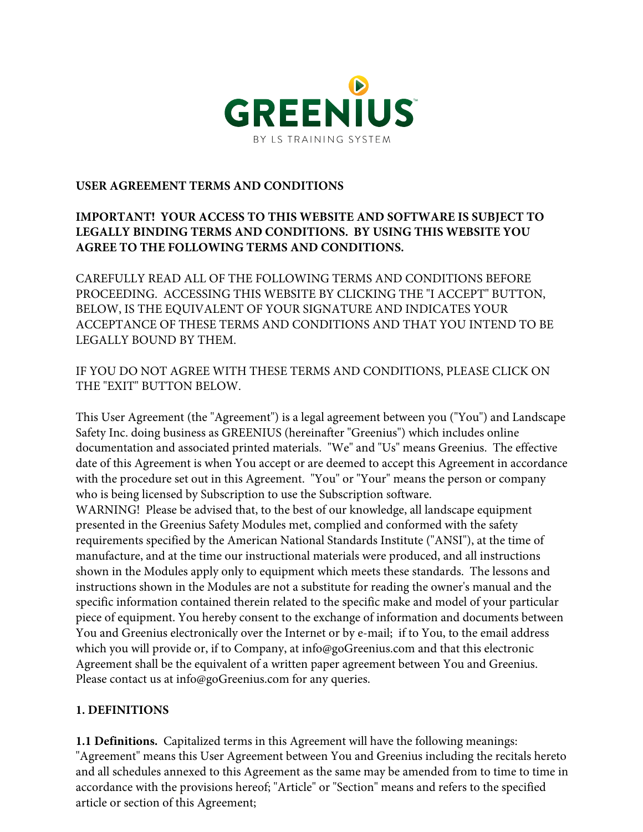

### **USER AGREEMENT TERMS AND CONDITIONS**

# **IMPORTANT! YOUR ACCESS TO THIS WEBSITE AND SOFTWARE IS SUBJECT TO LEGALLY BINDING TERMS AND CONDITIONS. BY USING THIS WEBSITE YOU AGREE TO THE FOLLOWING TERMS AND CONDITIONS.**

CAREFULLY READ ALL OF THE FOLLOWING TERMS AND CONDITIONS BEFORE PROCEEDING. ACCESSING THIS WEBSITE BY CLICKING THE "I ACCEPT" BUTTON, BELOW, IS THE EQUIVALENT OF YOUR SIGNATURE AND INDICATES YOUR ACCEPTANCE OF THESE TERMS AND CONDITIONS AND THAT YOU INTEND TO BE LEGALLY BOUND BY THEM.

IF YOU DO NOT AGREE WITH THESE TERMS AND CONDITIONS, PLEASE CLICK ON THE "EXIT" BUTTON BELOW.

This User Agreement (the "Agreement") is a legal agreement between you ("You") and Landscape Safety Inc. doing business as GREENIUS (hereinafter "Greenius") which includes online documentation and associated printed materials. "We" and "Us" means Greenius. The effective date of this Agreement is when You accept or are deemed to accept this Agreement in accordance with the procedure set out in this Agreement. "You" or "Your" means the person or company who is being licensed by Subscription to use the Subscription software. WARNING! Please be advised that, to the best of our knowledge, all landscape equipment presented in the Greenius Safety Modules met, complied and conformed with the safety requirements specified by the American National Standards Institute ("ANSI"), at the time of manufacture, and at the time our instructional materials were produced, and all instructions shown in the Modules apply only to equipment which meets these standards. The lessons and instructions shown in the Modules are not a substitute for reading the owner's manual and the specific information contained therein related to the specific make and model of your particular piece of equipment. You hereby consent to the exchange of information and documents between You and Greenius electronically over the Internet or by e-mail; if to You, to the email address which you will provide or, if to Company, at info@goGreenius.com and that this electronic Agreement shall be the equivalent of a written paper agreement between You and Greenius. Please contact us at info@goGreenius.com for any queries.

#### **1. DEFINITIONS**

**1.1 Definitions.** Capitalized terms in this Agreement will have the following meanings: "Agreement" means this User Agreement between You and Greenius including the recitals hereto and all schedules annexed to this Agreement as the same may be amended from to time to time in accordance with the provisions hereof; "Article" or "Section" means and refers to the specified article or section of this Agreement;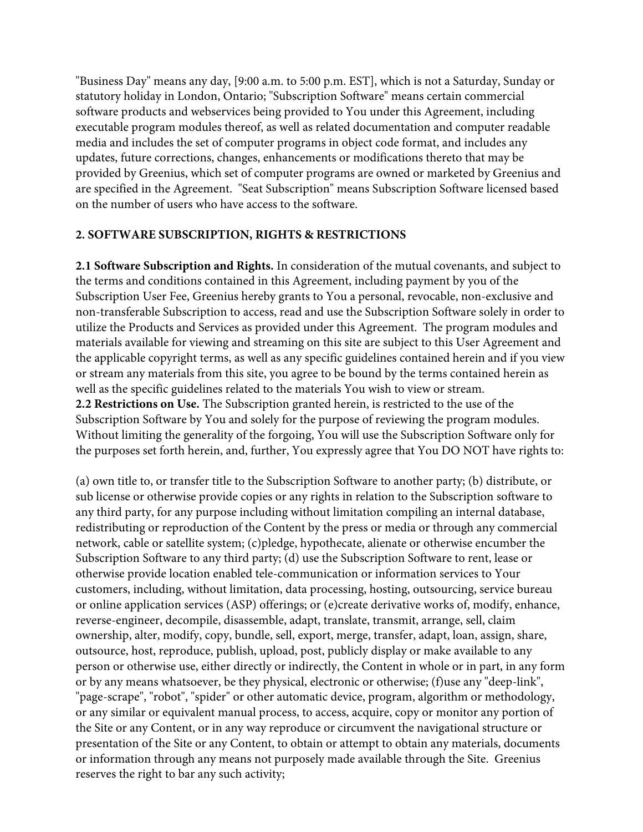"Business Day" means any day, [9:00 a.m. to 5:00 p.m. EST], which is not a Saturday, Sunday or statutory holiday in London, Ontario; "Subscription Software" means certain commercial software products and webservices being provided to You under this Agreement, including executable program modules thereof, as well as related documentation and computer readable media and includes the set of computer programs in object code format, and includes any updates, future corrections, changes, enhancements or modifications thereto that may be provided by Greenius, which set of computer programs are owned or marketed by Greenius and are specified in the Agreement. "Seat Subscription" means Subscription Software licensed based on the number of users who have access to the software.

### **2. SOFTWARE SUBSCRIPTION, RIGHTS & RESTRICTIONS**

**2.1 Software Subscription and Rights.** In consideration of the mutual covenants, and subject to the terms and conditions contained in this Agreement, including payment by you of the Subscription User Fee, Greenius hereby grants to You a personal, revocable, non-exclusive and non-transferable Subscription to access, read and use the Subscription Software solely in order to utilize the Products and Services as provided under this Agreement. The program modules and materials available for viewing and streaming on this site are subject to this User Agreement and the applicable copyright terms, as well as any specific guidelines contained herein and if you view or stream any materials from this site, you agree to be bound by the terms contained herein as well as the specific guidelines related to the materials You wish to view or stream. **2.2 Restrictions on Use.** The Subscription granted herein, is restricted to the use of the Subscription Software by You and solely for the purpose of reviewing the program modules. Without limiting the generality of the forgoing, You will use the Subscription Software only for the purposes set forth herein, and, further, You expressly agree that You DO NOT have rights to:

(a) own title to, or transfer title to the Subscription Software to another party; (b) distribute, or sub license or otherwise provide copies or any rights in relation to the Subscription software to any third party, for any purpose including without limitation compiling an internal database, redistributing or reproduction of the Content by the press or media or through any commercial network, cable or satellite system; (c)pledge, hypothecate, alienate or otherwise encumber the Subscription Software to any third party; (d) use the Subscription Software to rent, lease or otherwise provide location enabled tele-communication or information services to Your customers, including, without limitation, data processing, hosting, outsourcing, service bureau or online application services (ASP) offerings; or (e)create derivative works of, modify, enhance, reverse-engineer, decompile, disassemble, adapt, translate, transmit, arrange, sell, claim ownership, alter, modify, copy, bundle, sell, export, merge, transfer, adapt, loan, assign, share, outsource, host, reproduce, publish, upload, post, publicly display or make available to any person or otherwise use, either directly or indirectly, the Content in whole or in part, in any form or by any means whatsoever, be they physical, electronic or otherwise; (f)use any "deep-link", "page-scrape", "robot", "spider" or other automatic device, program, algorithm or methodology, or any similar or equivalent manual process, to access, acquire, copy or monitor any portion of the Site or any Content, or in any way reproduce or circumvent the navigational structure or presentation of the Site or any Content, to obtain or attempt to obtain any materials, documents or information through any means not purposely made available through the Site. Greenius reserves the right to bar any such activity;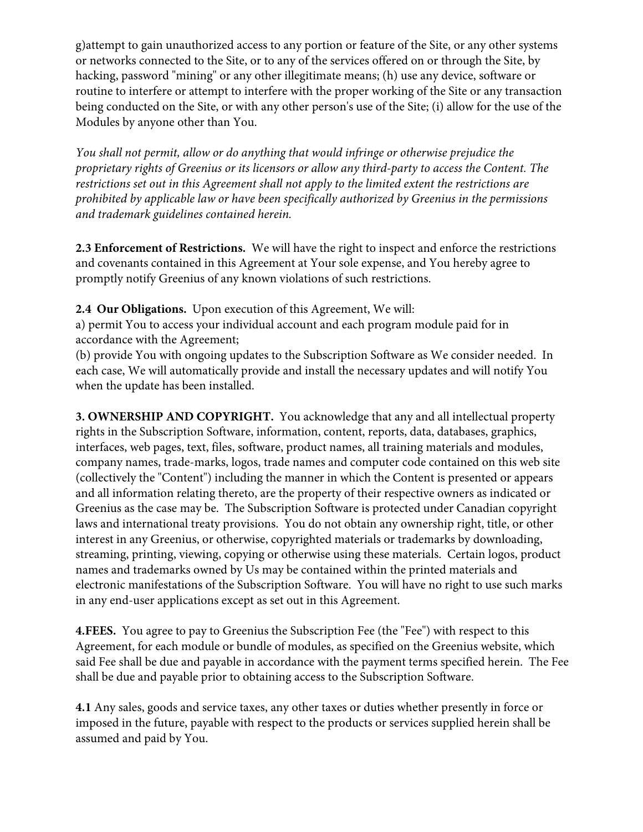g)attempt to gain unauthorized access to any portion or feature of the Site, or any other systems or networks connected to the Site, or to any of the services offered on or through the Site, by hacking, password "mining" or any other illegitimate means; (h) use any device, software or routine to interfere or attempt to interfere with the proper working of the Site or any transaction being conducted on the Site, or with any other person's use of the Site; (i) allow for the use of the Modules by anyone other than You.

*You shall not permit, allow or do anything that would infringe or otherwise prejudice the proprietary rights of Greenius or its licensors or allow any third-party to access the Content. The restrictions set out in this Agreement shall not apply to the limited extent the restrictions are prohibited by applicable law or have been specifically authorized by Greenius in the permissions and trademark guidelines contained herein.*

**2.3 Enforcement of Restrictions.** We will have the right to inspect and enforce the restrictions and covenants contained in this Agreement at Your sole expense, and You hereby agree to promptly notify Greenius of any known violations of such restrictions.

**2.4 Our Obligations.** Upon execution of this Agreement, We will:

a) permit You to access your individual account and each program module paid for in accordance with the Agreement;

(b) provide You with ongoing updates to the Subscription Software as We consider needed. In each case, We will automatically provide and install the necessary updates and will notify You when the update has been installed.

**3. OWNERSHIP AND COPYRIGHT.** You acknowledge that any and all intellectual property rights in the Subscription Software, information, content, reports, data, databases, graphics, interfaces, web pages, text, files, software, product names, all training materials and modules, company names, trade-marks, logos, trade names and computer code contained on this web site (collectively the "Content") including the manner in which the Content is presented or appears and all information relating thereto, are the property of their respective owners as indicated or Greenius as the case may be. The Subscription Software is protected under Canadian copyright laws and international treaty provisions. You do not obtain any ownership right, title, or other interest in any Greenius, or otherwise, copyrighted materials or trademarks by downloading, streaming, printing, viewing, copying or otherwise using these materials. Certain logos, product names and trademarks owned by Us may be contained within the printed materials and electronic manifestations of the Subscription Software. You will have no right to use such marks in any end-user applications except as set out in this Agreement.

**4.FEES.** You agree to pay to Greenius the Subscription Fee (the "Fee") with respect to this Agreement, for each module or bundle of modules, as specified on the Greenius website, which said Fee shall be due and payable in accordance with the payment terms specified herein. The Fee shall be due and payable prior to obtaining access to the Subscription Software.

**4.1** Any sales, goods and service taxes, any other taxes or duties whether presently in force or imposed in the future, payable with respect to the products or services supplied herein shall be assumed and paid by You.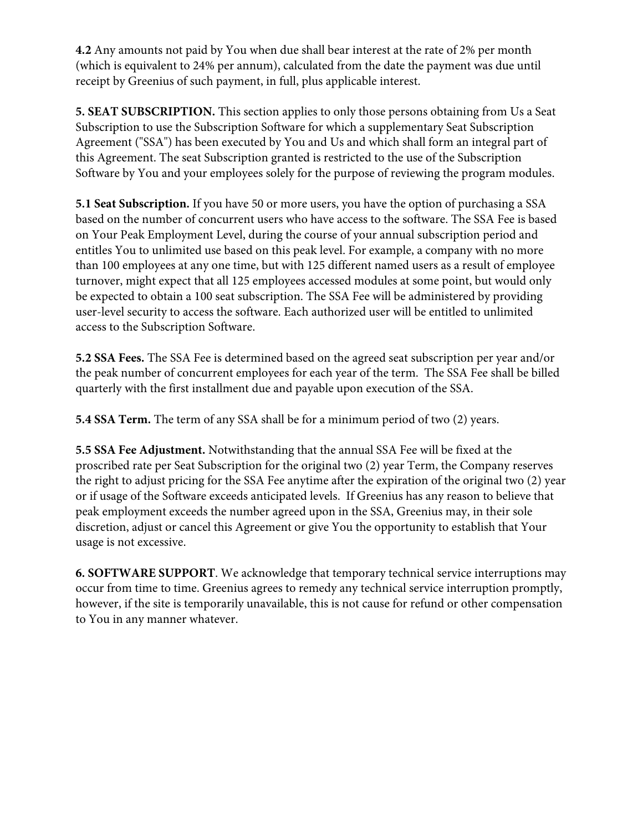**4.2** Any amounts not paid by You when due shall bear interest at the rate of 2% per month (which is equivalent to 24% per annum), calculated from the date the payment was due until receipt by Greenius of such payment, in full, plus applicable interest.

**5. SEAT SUBSCRIPTION.** This section applies to only those persons obtaining from Us a Seat Subscription to use the Subscription Software for which a supplementary Seat Subscription Agreement ("SSA") has been executed by You and Us and which shall form an integral part of this Agreement. The seat Subscription granted is restricted to the use of the Subscription Software by You and your employees solely for the purpose of reviewing the program modules.

**5.1 Seat Subscription.** If you have 50 or more users, you have the option of purchasing a SSA based on the number of concurrent users who have access to the software. The SSA Fee is based on Your Peak Employment Level, during the course of your annual subscription period and entitles You to unlimited use based on this peak level. For example, a company with no more than 100 employees at any one time, but with 125 different named users as a result of employee turnover, might expect that all 125 employees accessed modules at some point, but would only be expected to obtain a 100 seat subscription. The SSA Fee will be administered by providing user-level security to access the software. Each authorized user will be entitled to unlimited access to the Subscription Software.

**5.2 SSA Fees.** The SSA Fee is determined based on the agreed seat subscription per year and/or the peak number of concurrent employees for each year of the term. The SSA Fee shall be billed quarterly with the first installment due and payable upon execution of the SSA.

**5.4 SSA Term.** The term of any SSA shall be for a minimum period of two (2) years.

**5.5 SSA Fee Adjustment.** Notwithstanding that the annual SSA Fee will be fixed at the proscribed rate per Seat Subscription for the original two (2) year Term, the Company reserves the right to adjust pricing for the SSA Fee anytime after the expiration of the original two (2) year or if usage of the Software exceeds anticipated levels. If Greenius has any reason to believe that peak employment exceeds the number agreed upon in the SSA, Greenius may, in their sole discretion, adjust or cancel this Agreement or give You the opportunity to establish that Your usage is not excessive.

**6. SOFTWARE SUPPORT**. We acknowledge that temporary technical service interruptions may occur from time to time. Greenius agrees to remedy any technical service interruption promptly, however, if the site is temporarily unavailable, this is not cause for refund or other compensation to You in any manner whatever.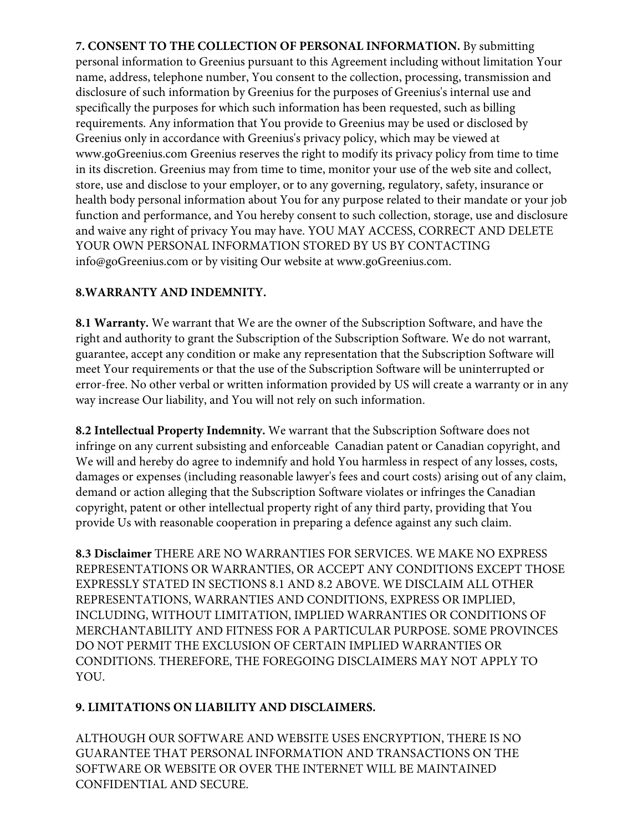**7. CONSENT TO THE COLLECTION OF PERSONAL INFORMATION.** By submitting personal information to Greenius pursuant to this Agreement including without limitation Your name, address, telephone number, You consent to the collection, processing, transmission and disclosure of such information by Greenius for the purposes of Greenius's internal use and specifically the purposes for which such information has been requested, such as billing requirements. Any information that You provide to Greenius may be used or disclosed by Greenius only in accordance with Greenius's privacy policy, which may be viewed at www.goGreenius.com Greenius reserves the right to modify its privacy policy from time to time in its discretion. Greenius may from time to time, monitor your use of the web site and collect, store, use and disclose to your employer, or to any governing, regulatory, safety, insurance or health body personal information about You for any purpose related to their mandate or your job function and performance, and You hereby consent to such collection, storage, use and disclosure and waive any right of privacy You may have. YOU MAY ACCESS, CORRECT AND DELETE YOUR OWN PERSONAL INFORMATION STORED BY US BY CONTACTING info@goGreenius.com or by visiting Our website at www.goGreenius.com.

# **8.WARRANTY AND INDEMNITY.**

**8.1 Warranty.** We warrant that We are the owner of the Subscription Software, and have the right and authority to grant the Subscription of the Subscription Software. We do not warrant, guarantee, accept any condition or make any representation that the Subscription Software will meet Your requirements or that the use of the Subscription Software will be uninterrupted or error-free. No other verbal or written information provided by US will create a warranty or in any way increase Our liability, and You will not rely on such information.

**8.2 Intellectual Property Indemnity.** We warrant that the Subscription Software does not infringe on any current subsisting and enforceable Canadian patent or Canadian copyright, and We will and hereby do agree to indemnify and hold You harmless in respect of any losses, costs, damages or expenses (including reasonable lawyer's fees and court costs) arising out of any claim, demand or action alleging that the Subscription Software violates or infringes the Canadian copyright, patent or other intellectual property right of any third party, providing that You provide Us with reasonable cooperation in preparing a defence against any such claim.

**8.3 Disclaimer** THERE ARE NO WARRANTIES FOR SERVICES. WE MAKE NO EXPRESS REPRESENTATIONS OR WARRANTIES, OR ACCEPT ANY CONDITIONS EXCEPT THOSE EXPRESSLY STATED IN SECTIONS 8.1 AND 8.2 ABOVE. WE DISCLAIM ALL OTHER REPRESENTATIONS, WARRANTIES AND CONDITIONS, EXPRESS OR IMPLIED, INCLUDING, WITHOUT LIMITATION, IMPLIED WARRANTIES OR CONDITIONS OF MERCHANTABILITY AND FITNESS FOR A PARTICULAR PURPOSE. SOME PROVINCES DO NOT PERMIT THE EXCLUSION OF CERTAIN IMPLIED WARRANTIES OR CONDITIONS. THEREFORE, THE FOREGOING DISCLAIMERS MAY NOT APPLY TO YOU.

# **9. LIMITATIONS ON LIABILITY AND DISCLAIMERS.**

ALTHOUGH OUR SOFTWARE AND WEBSITE USES ENCRYPTION, THERE IS NO GUARANTEE THAT PERSONAL INFORMATION AND TRANSACTIONS ON THE SOFTWARE OR WEBSITE OR OVER THE INTERNET WILL BE MAINTAINED CONFIDENTIAL AND SECURE.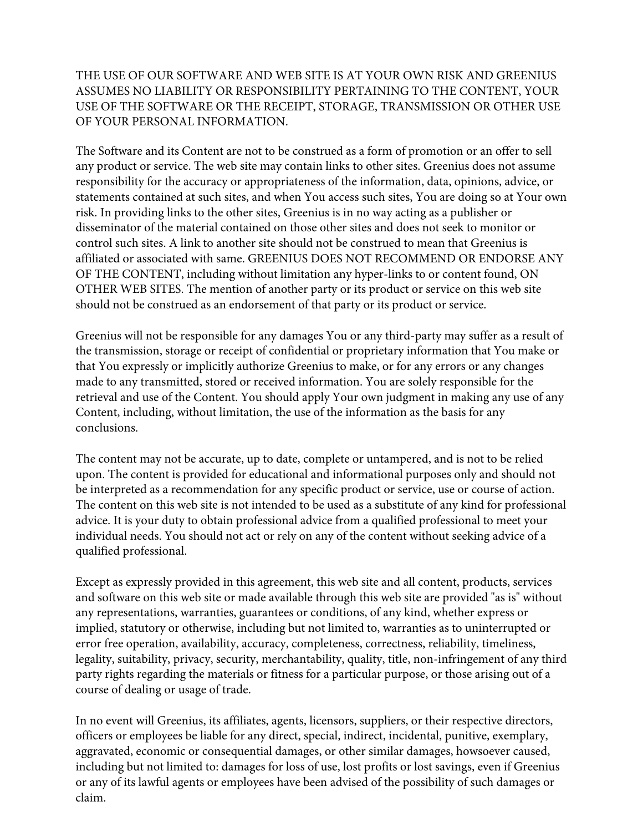# THE USE OF OUR SOFTWARE AND WEB SITE IS AT YOUR OWN RISK AND GREENIUS ASSUMES NO LIABILITY OR RESPONSIBILITY PERTAINING TO THE CONTENT, YOUR USE OF THE SOFTWARE OR THE RECEIPT, STORAGE, TRANSMISSION OR OTHER USE OF YOUR PERSONAL INFORMATION.

The Software and its Content are not to be construed as a form of promotion or an offer to sell any product or service. The web site may contain links to other sites. Greenius does not assume responsibility for the accuracy or appropriateness of the information, data, opinions, advice, or statements contained at such sites, and when You access such sites, You are doing so at Your own risk. In providing links to the other sites, Greenius is in no way acting as a publisher or disseminator of the material contained on those other sites and does not seek to monitor or control such sites. A link to another site should not be construed to mean that Greenius is affiliated or associated with same. GREENIUS DOES NOT RECOMMEND OR ENDORSE ANY OF THE CONTENT, including without limitation any hyper-links to or content found, ON OTHER WEB SITES. The mention of another party or its product or service on this web site should not be construed as an endorsement of that party or its product or service.

Greenius will not be responsible for any damages You or any third-party may suffer as a result of the transmission, storage or receipt of confidential or proprietary information that You make or that You expressly or implicitly authorize Greenius to make, or for any errors or any changes made to any transmitted, stored or received information. You are solely responsible for the retrieval and use of the Content. You should apply Your own judgment in making any use of any Content, including, without limitation, the use of the information as the basis for any conclusions.

The content may not be accurate, up to date, complete or untampered, and is not to be relied upon. The content is provided for educational and informational purposes only and should not be interpreted as a recommendation for any specific product or service, use or course of action. The content on this web site is not intended to be used as a substitute of any kind for professional advice. It is your duty to obtain professional advice from a qualified professional to meet your individual needs. You should not act or rely on any of the content without seeking advice of a qualified professional.

Except as expressly provided in this agreement, this web site and all content, products, services and software on this web site or made available through this web site are provided "as is" without any representations, warranties, guarantees or conditions, of any kind, whether express or implied, statutory or otherwise, including but not limited to, warranties as to uninterrupted or error free operation, availability, accuracy, completeness, correctness, reliability, timeliness, legality, suitability, privacy, security, merchantability, quality, title, non-infringement of any third party rights regarding the materials or fitness for a particular purpose, or those arising out of a course of dealing or usage of trade.

In no event will Greenius, its affiliates, agents, licensors, suppliers, or their respective directors, officers or employees be liable for any direct, special, indirect, incidental, punitive, exemplary, aggravated, economic or consequential damages, or other similar damages, howsoever caused, including but not limited to: damages for loss of use, lost profits or lost savings, even if Greenius or any of its lawful agents or employees have been advised of the possibility of such damages or claim.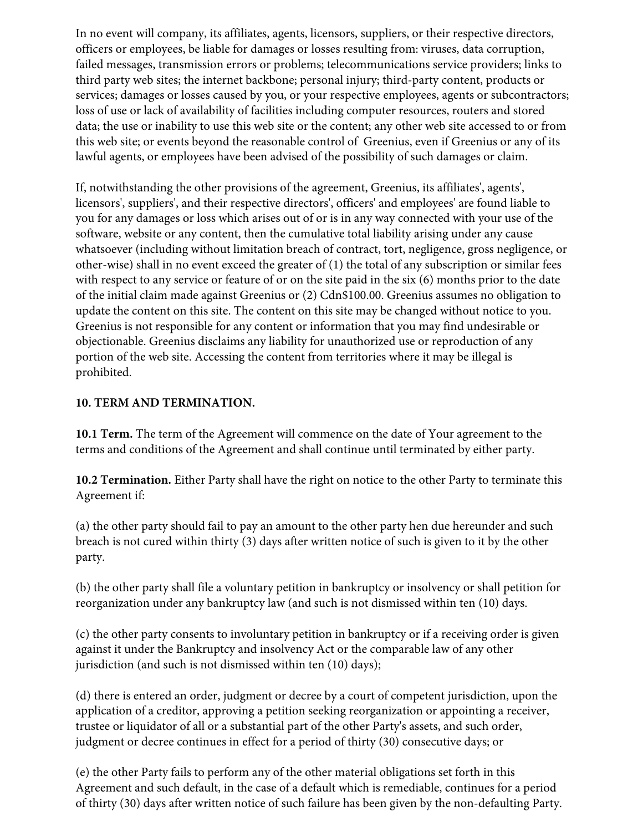In no event will company, its affiliates, agents, licensors, suppliers, or their respective directors, officers or employees, be liable for damages or losses resulting from: viruses, data corruption, failed messages, transmission errors or problems; telecommunications service providers; links to third party web sites; the internet backbone; personal injury; third-party content, products or services; damages or losses caused by you, or your respective employees, agents or subcontractors; loss of use or lack of availability of facilities including computer resources, routers and stored data; the use or inability to use this web site or the content; any other web site accessed to or from this web site; or events beyond the reasonable control of Greenius, even if Greenius or any of its lawful agents, or employees have been advised of the possibility of such damages or claim.

If, notwithstanding the other provisions of the agreement, Greenius, its affiliates', agents', licensors', suppliers', and their respective directors', officers' and employees' are found liable to you for any damages or loss which arises out of or is in any way connected with your use of the software, website or any content, then the cumulative total liability arising under any cause whatsoever (including without limitation breach of contract, tort, negligence, gross negligence, or other-wise) shall in no event exceed the greater of (1) the total of any subscription or similar fees with respect to any service or feature of or on the site paid in the six (6) months prior to the date of the initial claim made against Greenius or (2) Cdn\$100.00. Greenius assumes no obligation to update the content on this site. The content on this site may be changed without notice to you. Greenius is not responsible for any content or information that you may find undesirable or objectionable. Greenius disclaims any liability for unauthorized use or reproduction of any portion of the web site. Accessing the content from territories where it may be illegal is prohibited.

# **10. TERM AND TERMINATION.**

**10.1 Term.** The term of the Agreement will commence on the date of Your agreement to the terms and conditions of the Agreement and shall continue until terminated by either party.

**10.2 Termination.** Either Party shall have the right on notice to the other Party to terminate this Agreement if:

(a) the other party should fail to pay an amount to the other party hen due hereunder and such breach is not cured within thirty (3) days after written notice of such is given to it by the other party.

(b) the other party shall file a voluntary petition in bankruptcy or insolvency or shall petition for reorganization under any bankruptcy law (and such is not dismissed within ten (10) days.

(c) the other party consents to involuntary petition in bankruptcy or if a receiving order is given against it under the Bankruptcy and insolvency Act or the comparable law of any other jurisdiction (and such is not dismissed within ten (10) days);

(d) there is entered an order, judgment or decree by a court of competent jurisdiction, upon the application of a creditor, approving a petition seeking reorganization or appointing a receiver, trustee or liquidator of all or a substantial part of the other Party's assets, and such order, judgment or decree continues in effect for a period of thirty (30) consecutive days; or

(e) the other Party fails to perform any of the other material obligations set forth in this Agreement and such default, in the case of a default which is remediable, continues for a period of thirty (30) days after written notice of such failure has been given by the non-defaulting Party.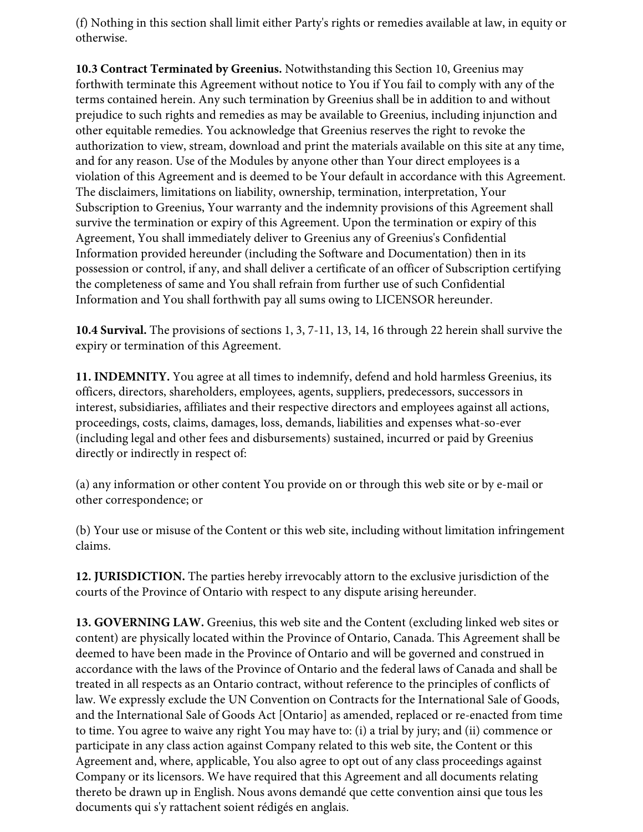(f) Nothing in this section shall limit either Party's rights or remedies available at law, in equity or otherwise.

**10.3 Contract Terminated by Greenius.** Notwithstanding this Section 10, Greenius may forthwith terminate this Agreement without notice to You if You fail to comply with any of the terms contained herein. Any such termination by Greenius shall be in addition to and without prejudice to such rights and remedies as may be available to Greenius, including injunction and other equitable remedies. You acknowledge that Greenius reserves the right to revoke the authorization to view, stream, download and print the materials available on this site at any time, and for any reason. Use of the Modules by anyone other than Your direct employees is a violation of this Agreement and is deemed to be Your default in accordance with this Agreement. The disclaimers, limitations on liability, ownership, termination, interpretation, Your Subscription to Greenius, Your warranty and the indemnity provisions of this Agreement shall survive the termination or expiry of this Agreement. Upon the termination or expiry of this Agreement, You shall immediately deliver to Greenius any of Greenius's Confidential Information provided hereunder (including the Software and Documentation) then in its possession or control, if any, and shall deliver a certificate of an officer of Subscription certifying the completeness of same and You shall refrain from further use of such Confidential Information and You shall forthwith pay all sums owing to LICENSOR hereunder.

**10.4 Survival.** The provisions of sections 1, 3, 7-11, 13, 14, 16 through 22 herein shall survive the expiry or termination of this Agreement.

**11. INDEMNITY.** You agree at all times to indemnify, defend and hold harmless Greenius, its officers, directors, shareholders, employees, agents, suppliers, predecessors, successors in interest, subsidiaries, affiliates and their respective directors and employees against all actions, proceedings, costs, claims, damages, loss, demands, liabilities and expenses what-so-ever (including legal and other fees and disbursements) sustained, incurred or paid by Greenius directly or indirectly in respect of:

(a) any information or other content You provide on or through this web site or by e-mail or other correspondence; or

(b) Your use or misuse of the Content or this web site, including without limitation infringement claims.

**12. JURISDICTION.** The parties hereby irrevocably attorn to the exclusive jurisdiction of the courts of the Province of Ontario with respect to any dispute arising hereunder.

**13. GOVERNING LAW.** Greenius, this web site and the Content (excluding linked web sites or content) are physically located within the Province of Ontario, Canada. This Agreement shall be deemed to have been made in the Province of Ontario and will be governed and construed in accordance with the laws of the Province of Ontario and the federal laws of Canada and shall be treated in all respects as an Ontario contract, without reference to the principles of conflicts of law. We expressly exclude the UN Convention on Contracts for the International Sale of Goods, and the International Sale of Goods Act [Ontario] as amended, replaced or re-enacted from time to time. You agree to waive any right You may have to: (i) a trial by jury; and (ii) commence or participate in any class action against Company related to this web site, the Content or this Agreement and, where, applicable, You also agree to opt out of any class proceedings against Company or its licensors. We have required that this Agreement and all documents relating thereto be drawn up in English. Nous avons demandé que cette convention ainsi que tous les documents qui s'y rattachent soient rédigés en anglais.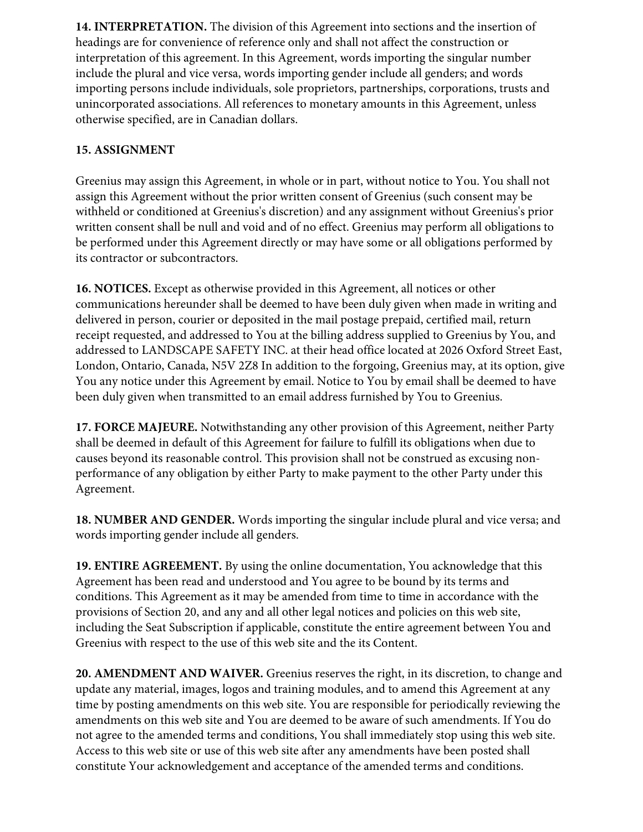**14. INTERPRETATION.** The division of this Agreement into sections and the insertion of headings are for convenience of reference only and shall not affect the construction or interpretation of this agreement. In this Agreement, words importing the singular number include the plural and vice versa, words importing gender include all genders; and words importing persons include individuals, sole proprietors, partnerships, corporations, trusts and unincorporated associations. All references to monetary amounts in this Agreement, unless otherwise specified, are in Canadian dollars.

# **15. ASSIGNMENT**

Greenius may assign this Agreement, in whole or in part, without notice to You. You shall not assign this Agreement without the prior written consent of Greenius (such consent may be withheld or conditioned at Greenius's discretion) and any assignment without Greenius's prior written consent shall be null and void and of no effect. Greenius may perform all obligations to be performed under this Agreement directly or may have some or all obligations performed by its contractor or subcontractors.

**16. NOTICES.** Except as otherwise provided in this Agreement, all notices or other communications hereunder shall be deemed to have been duly given when made in writing and delivered in person, courier or deposited in the mail postage prepaid, certified mail, return receipt requested, and addressed to You at the billing address supplied to Greenius by You, and addressed to LANDSCAPE SAFETY INC. at their head office located at 2026 Oxford Street East, London, Ontario, Canada, N5V 2Z8 In addition to the forgoing, Greenius may, at its option, give You any notice under this Agreement by email. Notice to You by email shall be deemed to have been duly given when transmitted to an email address furnished by You to Greenius.

**17. FORCE MAJEURE.** Notwithstanding any other provision of this Agreement, neither Party shall be deemed in default of this Agreement for failure to fulfill its obligations when due to causes beyond its reasonable control. This provision shall not be construed as excusing nonperformance of any obligation by either Party to make payment to the other Party under this Agreement.

**18. NUMBER AND GENDER.** Words importing the singular include plural and vice versa; and words importing gender include all genders.

**19. ENTIRE AGREEMENT.** By using the online documentation, You acknowledge that this Agreement has been read and understood and You agree to be bound by its terms and conditions. This Agreement as it may be amended from time to time in accordance with the provisions of Section 20, and any and all other legal notices and policies on this web site, including the Seat Subscription if applicable, constitute the entire agreement between You and Greenius with respect to the use of this web site and the its Content.

**20. AMENDMENT AND WAIVER.** Greenius reserves the right, in its discretion, to change and update any material, images, logos and training modules, and to amend this Agreement at any time by posting amendments on this web site. You are responsible for periodically reviewing the amendments on this web site and You are deemed to be aware of such amendments. If You do not agree to the amended terms and conditions, You shall immediately stop using this web site. Access to this web site or use of this web site after any amendments have been posted shall constitute Your acknowledgement and acceptance of the amended terms and conditions.